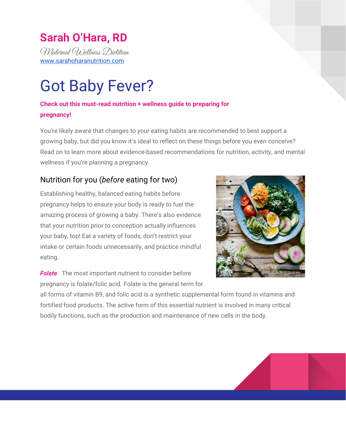## **Sarah O'Hara, RD**

Maternal Wellness Dietitian [www.sarahoharanutrition.com](http://www.sarahoharanutrition.com/)

# Got Baby Fever?

### **Check out this must-read nutrition + wellness guide to preparing for pregnancy!**

You're likely aware that changes to your eating habits are recommended to best support a growing baby, but did you know it's ideal to reflect on these things before you even conceive? Read on to learn more about evidence-based recommendations for nutrition, activity, and mental wellness if you're planning a pregnancy.

## Nutrition for you (*before* eating for two)

Establishing healthy, balanced eating habits before pregnancy helps to ensure your body is ready to fuel the amazing process of growing a baby. There's also evidence that your nutrition prior to conception actually influences your baby, too! Eat a variety of foods, don't restrict your intake or certain foods unnecessarily, and practice mindful eating.

**Folate** The most important nutrient to consider before pregnancy is folate/folic acid. Folate is the general term for



all forms of vitamin B9, and folic acid is a synthetic supplemental form found in vitamins and fortified food products. The active form of this essential nutrient is involved in many critical bodily functions, such as the production and maintenance of new cells in the body.

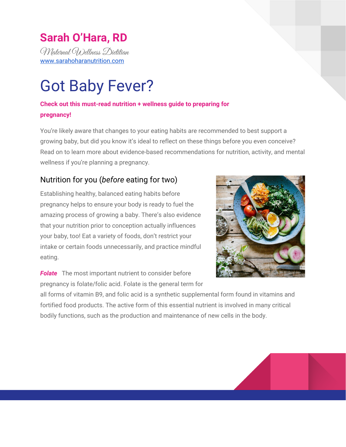All forms of folate/folic acid significantly reduce risk of spinal cord defects (neural tube defects; NTDs) when consumed in adequate amounts before conception and throughout pregnancy. But more isn't necessarily better - the dose matters, as both too little and too much is not ideal. It's recommended that women who might become pregnant supplement with folic acid, which is best taken with food.

Ideally, begin supplementing at least three months prior to conceiving. Take 400 micrograms (0.4mg) daily if your Body Mass Index is  $30\text{kg/m}^2$  or less, and your doctor or midwife has indicated you have an otherwise low risk of experiencing a NTD pregnancy. You might consider taking the active form of folate if you have any infertility history, recurrent miscarriage, or a known genetic variant that reduces your body's conversion of folic acid to the active form (two copies of the MTHFR mutation) - see the FAQ Section (page 4) for more details.

Women at moderate risk for a NTD pregnancy are recommended to take 1000 micrograms (1mg) of folic acid daily; a few examples include if you have Crohn's, Colitis, active Celiac Disease, previous gastric bypass surgery, diabetes, or if you take certain prescription medications. It's also found that women with a pre-pregnancy BMI of  $>$ 30kg/m<sup>2</sup> benefit from this dose of folate.

The highest recommended dose of 5mg daily is only indicated if you have experienced a previous NTD pregnancy, or if you/your partner has a personal NTD history.

Folic acid supplementation is recommended throughout pregnancy and breastfeeding, so don't ditch your supplement too soon. It can be difficult to consistently meet your requirements through food alone. (According to Health Canada, over 75% of women consume less than the amount required for pregnancy.) It's still safe to consume folate-rich foods on top of your supplement, like leafy greens, citrus fruits, asparagus, broccoli, legumes, and fortified grain products. A multivitamin, prenatal multivitamin, or folic acid on its own are all options; check the label and discuss with your obstetric provider or Maternal Wellness Dietitian if you're uncertain

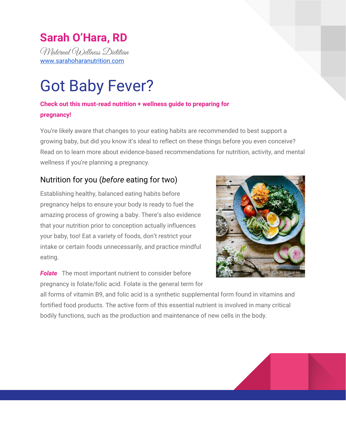how to best meet your requirements. Do not take multiple tablets of multivitamins to meet folate requirements.

**Vitamin D** The sunshine vitamin is one that most Canadians don't get enough of without supplementation, and some recent research shows that vitamin D insufficiency in a mom-to-be before conception and in early pregnancy may increase baby's future asthma risk. Most multivitamins and prenatal vitamins contain vitamin D, but many health experts agree that a higher dose of 1000-2000IU per day is needed for most Canadians to have optimal vitamin D levels. Low vitamin D in dad-to-be has also been linked to reduced sperm motility and low testosterone, so it's wise for you both to be supplementing in the weeks and months before conceiving (and throughout pregnancy/breastfeeding). Don't take more than 4000IU daily from all supplemental sources without medical supervision.

*Plant-based diet?* If you follow a vegan, vegetarian, or semi-vegetarian diet, or have history of anemia, ask your physician about getting a blood test to confirm your body's pre-pregnancy iron and vitamin B12 stores are optimal. Most women have these tested at some point in pregnancy as well, since these nutrients will be extra important as your body begins to amp up its red blood cell production to support a growing baby.

*Alcohol* Evidence shows modest intake of 1-2 standard drinks per occasion doesn't seem to pose a significant risk to baby, but there is no official safe alcohol intake for a mama-to-be since a well-designed scientific study has obvious ethical concerns and because individual women respond differently to the same quantity of alcohol. And since many women don't discover their pregnancy until several weeks in, it's best to err on the side of caution.

It's also not a bad idea for *both* parents-to-be to limit intake of alcoholic beverages if you're trying to get pregnant. A recent study found the number of drinks per occasion regularly taken

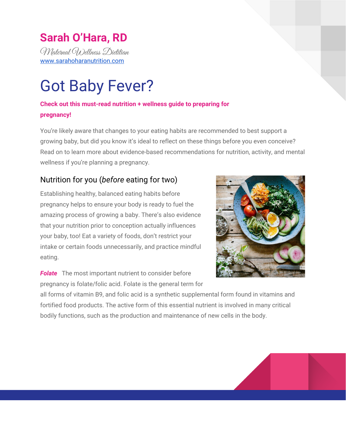by dad in the months before conception increased baby's chances of a smaller head size at birth, but this research has yet to be studied robustly. In my opinion, it reminds us that baby is very likely affected by the health habits of both parents (and/or donors) in the months leading up to conception.

*Beware of misinformation* Learn from reputable sources about which foods + beverages you should limit or avoid during pregnancy, so when the time comes you're eating safely. Chat with a Registered Dietitian if you've got questions/concerns about your eating habits or nutrition status. I offer personalized pre-conception and fertility nutrition consultations, if you feel a comprehensive look at your personal dietary/lifestyle might be beneficial!

#### **FAQ: Are some vitamins/supplements better than others?**

The regulations for supplements sold in Canada are not as rigorous as those for prescription medications, but the rules that do exist are certainly better than none. Check the packaging to be sure the product you choose has a Natural Health Product number (NHP). Generic brands can be a cost effective option. Supplements derived from natural sources aren't necessary, but if you choose one be sure it contains an NHP number and discuss with a qualified health professional before you start taking it (some natural source supplements also contain herbs that are unsafe for pregnancy). Remember that not all natural ingredients are good, and not all synthetic ones are bad; what's most important is that all ingredients are evaluated for safety. Ask your Doctor, Pharmacist, or Dietitian for more information.

#### **FAQ: I've heard many women can't properly absorb/use folic acid. What's the deal?**

Folic acid and folate from supplements/food are not the biologically active forms of this B-vitamin. The body converts these into an active form, L-methylfolate (also called Metafolin or

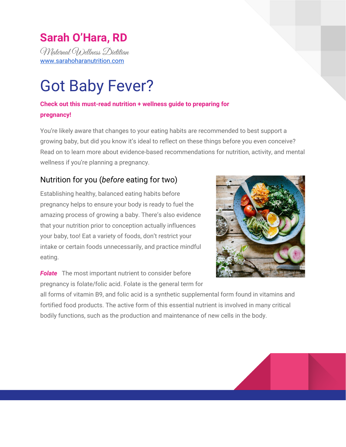Quatrefolic). Genetic testing can provide personalized information about your body's ability to convert folic acid and folate into the active L-methylfolate, however it is an expensive test and not covered by health care.

Many women carry a gene that reduces folic acid/folate conversion to its active form in the body, but only women who carry *two* copies of this gene are thought to convert inadequate folate for optimal functioning of the body. There isn't enough evidence yet to say whether women carrying this gene should be supplementing with L-methylfolate instead of folic acid. If you do choose to supplement with L-methylfolate, a daily dose of 400 micrograms (0.4mg) meets recommendations for low-NTD risk women, and minimizes your chances of side effects found at higher doses. If you want to know more, you can always check with your Doctor, Midwife, or Maternal Wellness Dietitian for guidance on appropriateness and dosage before starting on a supplement.

## Move yo' body



Prioritizing physical activity before getting pregnant has so many potential benefits for both your physical and mental health. Regular exercise boosts mood and well being, improves sleep quality, gives you physical stamina, and provides a great big long list of other health perks.

Getting into an activity routine before you're

pregnant improves the chances that you'll also remain active throughout pregnancy. And unless you experience certain pregnancy complications, activity throughout pregnancy will also help



#### 5